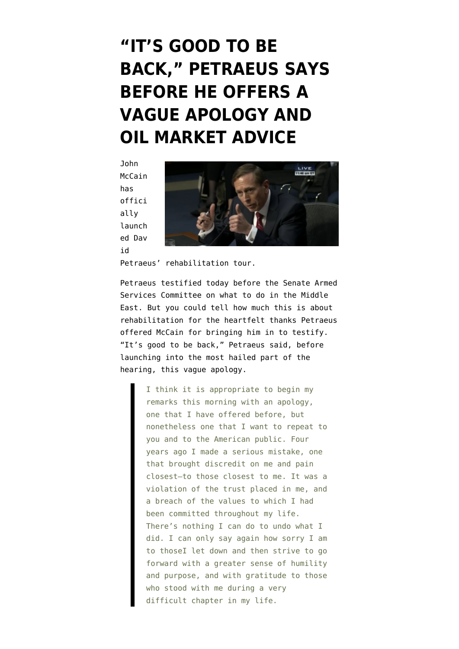## **["IT'S GOOD TO BE](https://www.emptywheel.net/2015/09/22/its-good-to-be-back-petraeus-says-before-he-offers-a-vague-apology-and-oil-market-advice/) [BACK," PETRAEUS SAYS](https://www.emptywheel.net/2015/09/22/its-good-to-be-back-petraeus-says-before-he-offers-a-vague-apology-and-oil-market-advice/) [BEFORE HE OFFERS A](https://www.emptywheel.net/2015/09/22/its-good-to-be-back-petraeus-says-before-he-offers-a-vague-apology-and-oil-market-advice/) [VAGUE APOLOGY AND](https://www.emptywheel.net/2015/09/22/its-good-to-be-back-petraeus-says-before-he-offers-a-vague-apology-and-oil-market-advice/) [OIL MARKET ADVICE](https://www.emptywheel.net/2015/09/22/its-good-to-be-back-petraeus-says-before-he-offers-a-vague-apology-and-oil-market-advice/)**

John McCain has offici ally launch ed Dav id



Petraeus' rehabilitation tour.

Petraeus [testified](http://www.c-span.org/video/?328261-1/former-cia-director-david-petraeus-testimony-us-middle-east-policy&live) today before the Senate Armed Services Committee on what to do in the Middle East. But you could tell how much this is about rehabilitation for the heartfelt thanks Petraeus offered McCain for bringing him in to testify. "It's good to be back," Petraeus said, before launching into the most hailed part of the hearing, this vague apology.

> I think it is appropriate to begin my remarks this morning with an apology, one that I have offered before, but nonetheless one that I want to repeat to you and to the American public. Four years ago I made a serious mistake, one that brought discredit on me and pain closest–to those closest to me. It was a violation of the trust placed in me, and a breach of the values to which I had been committed throughout my life. There's nothing I can do to undo what I did. I can only say again how sorry I am to thoseI let down and then strive to go forward with a greater sense of humility and purpose, and with gratitude to those who stood with me during a very difficult chapter in my life.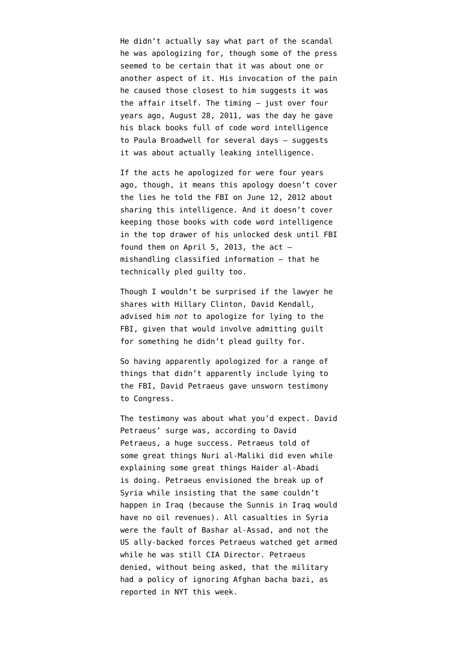He didn't actually say what part of the scandal he was apologizing for, though some of the press seemed to be [certain](http://abcnews.go.com/Politics/david-petraeus-apologizes-giving-classified-info-alleged-mistress/story?id=33946629) that it was about one or [another](http://www.cnn.com/2015/09/22/politics/david-petraeus-apologizes-senate-hearing/index.html) aspect of it. His invocation of the pain he caused those closest to him suggests it was the affair itself. The timing — just over four years ago, August 28, 2011, [was the day](http://www.ncwd.uscourts.gov/sites/default/files/general/Petraeus.pdf) he gave his black books full of code word intelligence to Paula Broadwell for several days — suggests it was about actually leaking intelligence.

If the acts he apologized for were four years ago, though, it means this apology doesn't cover the lies he told the FBI on June 12, 2012 about sharing this intelligence. And it doesn't cover keeping those books with code word intelligence in the top drawer of his unlocked desk until FBI found them on April 5, 2013, the  $act$ mishandling classified information — that he technically pled guilty too.

Though I wouldn't be surprised if the lawyer he shares with Hillary Clinton, David Kendall, advised him *not* to apologize for lying to the FBI, given that would involve admitting guilt for something he didn't plead guilty for.

So having apparently apologized for a range of things that didn't apparently include lying to the FBI, David Petraeus gave unsworn testimony to Congress.

The testimony was about what you'd expect. David Petraeus' surge was, according to David Petraeus, a huge success. Petraeus told of some great things Nuri al-Maliki did even while explaining some great things Haider al-Abadi is doing. Petraeus envisioned the break up of Syria while insisting that the same couldn't happen in Iraq (because the Sunnis in Iraq would have no oil revenues). All casualties in Syria were the fault of Bashar al-Assad, and not the US ally-backed forces Petraeus watched get armed while he was still CIA Director. Petraeus denied, without being asked, that the military had a policy of ignoring Afghan bacha bazi, as [reported in NYT this week.](https://www.emptywheel.net/2015/09/20/so-there-was-one-cultural-difference-the-military-recognized-in-afghanistan/)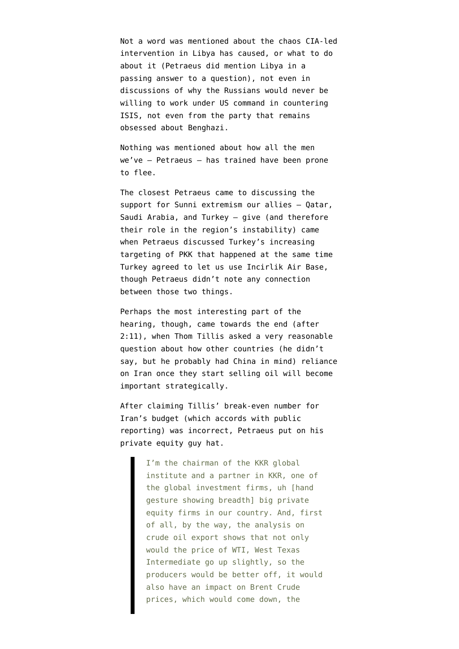Not a word was mentioned about the chaos CIA-led intervention in Libya has caused, or what to do about it (Petraeus did mention Libya in a passing answer to a question), not even in discussions of why the Russians would never be willing to work under US command in countering ISIS, not even from the party that remains obsessed about Benghazi.

Nothing was mentioned about how all the men we've — [Petraeus](https://www.emptywheel.net/2012/11/13/david-petraeus-a-thrice-failed-trainer/) — has trained have been prone to flee.

The closest Petraeus came to discussing the support for Sunni extremism our allies — Qatar, Saudi Arabia, and Turkey — give (and therefore their role in the region's instability) came when Petraeus discussed Turkey's increasing targeting of PKK that happened at the same time Turkey agreed to let us use Incirlik Air Base, though Petraeus didn't note any connection between those two things.

Perhaps the most interesting part of the hearing, though, came towards the end ([after](http://www.c-span.org/video/?c4551872/thom-tillis-asks-david-petraeus-irans-oil) [2:11](http://www.c-span.org/video/?c4551872/thom-tillis-asks-david-petraeus-irans-oil)), when Thom Tillis asked a very reasonable question about how other countries (he didn't say, but he probably had China in mind) reliance on Iran once they start selling oil will become important strategically.

After claiming Tillis' break-even number for Iran's budget (which accords with [public](http://www.businessinsider.com/break-even-oil-prices-for-all-the-major-producers-in-the-world-2015-7) [reporting\)](http://www.businessinsider.com/break-even-oil-prices-for-all-the-major-producers-in-the-world-2015-7) was incorrect, Petraeus put on his private equity guy hat.

> I'm the chairman of the KKR global institute and a partner in KKR, one of the global investment firms, uh [hand gesture showing breadth] big private equity firms in our country. And, first of all, by the way, the analysis on crude oil export shows that not only would the price of WTI, West Texas Intermediate go up slightly, so the producers would be better off, it would also have an impact on Brent Crude prices, which would come down, the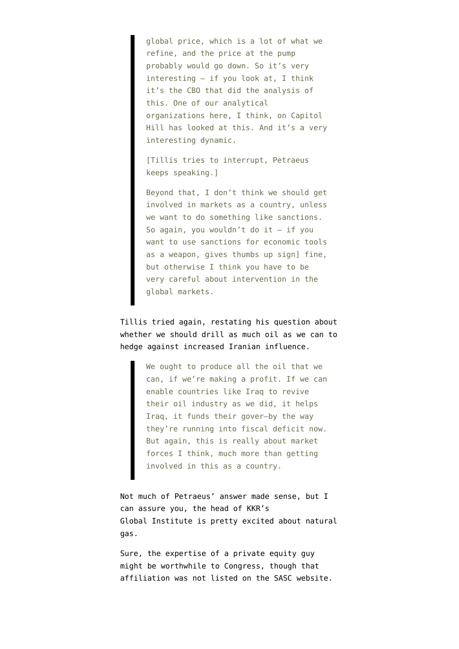global price, which is a lot of what we refine, and the price at the pump probably would go down. So it's very interesting — if you look at, I think it's the CBO that did the analysis of this. One of our analytical organizations here, I think, on Capitol Hill has looked at this. And it's a very interesting dynamic.

[Tillis tries to interrupt, Petraeus keeps speaking.]

Beyond that, I don't think we should get involved in markets as a country, unless we want to do something like sanctions. So again, you wouldn't do it — if you want to use sanctions for economic tools as a weapon, gives thumbs up sign] fine, but otherwise I think you have to be very careful about intervention in the global markets.

Tillis tried again, restating his question about whether we should drill as much oil as we can to hedge against increased Iranian influence.

> We ought to produce all the oil that we can, if we're making a profit. If we can enable countries like Iraq to revive their oil industry as we did, it helps Iraq, it funds their gover–by the way they're running into fiscal deficit now. But again, this is really about market forces I think, much more than getting involved in this as a country.

Not much of Petraeus' answer made sense, but I can assure you, the head of KKR's Global Institute is pretty excited about natural gas.

Sure, the expertise of a private equity guy might be worthwhile to Congress, though that affiliation was not listed on [the SASC website.](http://www.armed-services.senate.gov/hearings/15-09-22-testimony-on-united-states-middle-east-policy)